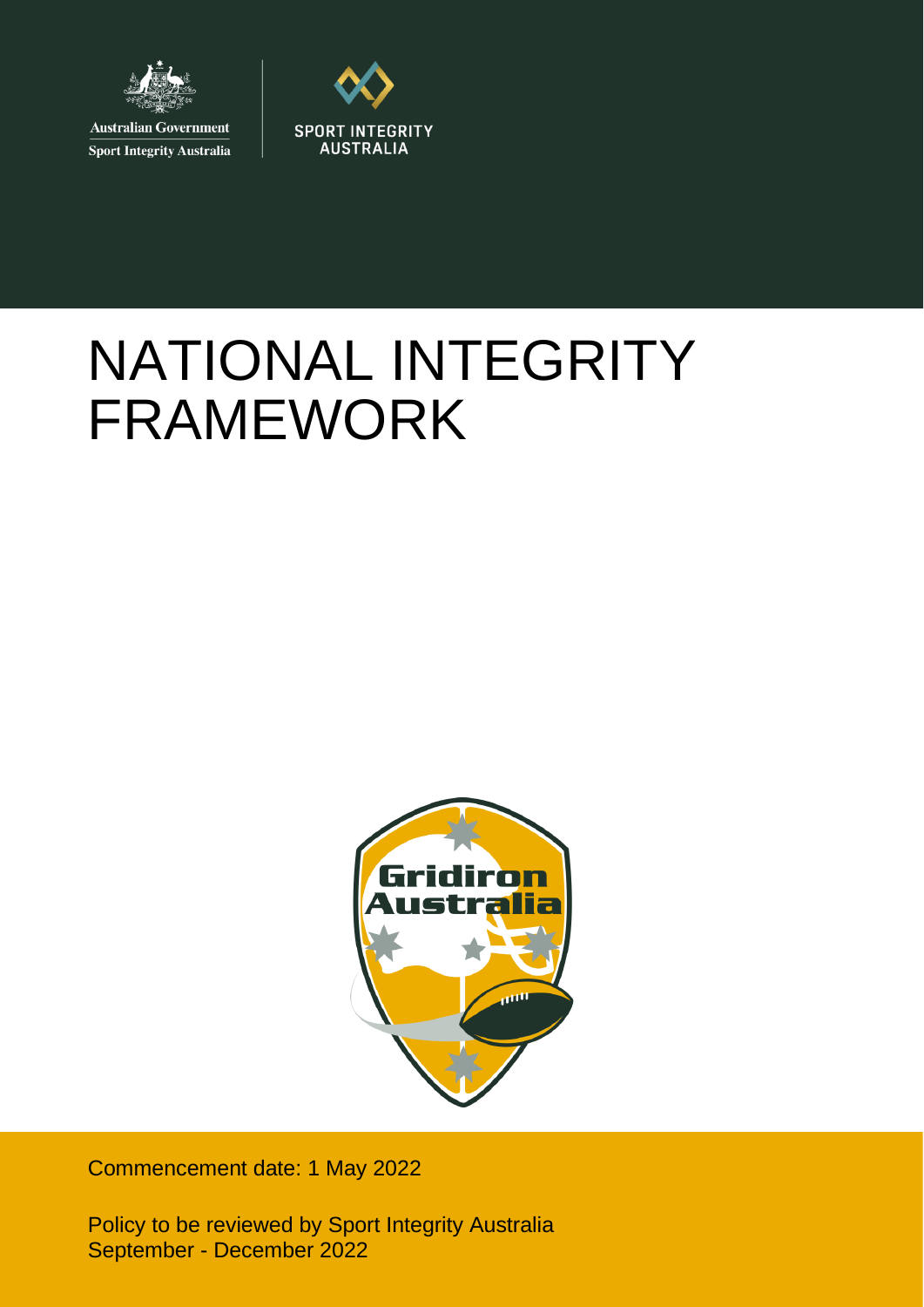

**Australian Government Sport Integrity Australia** 



# NATIONAL INTEGRITY FRAMEWORK



Commencement date: 1 May 2022

Policy to be reviewed by Sport Integrity Australia September - December 2022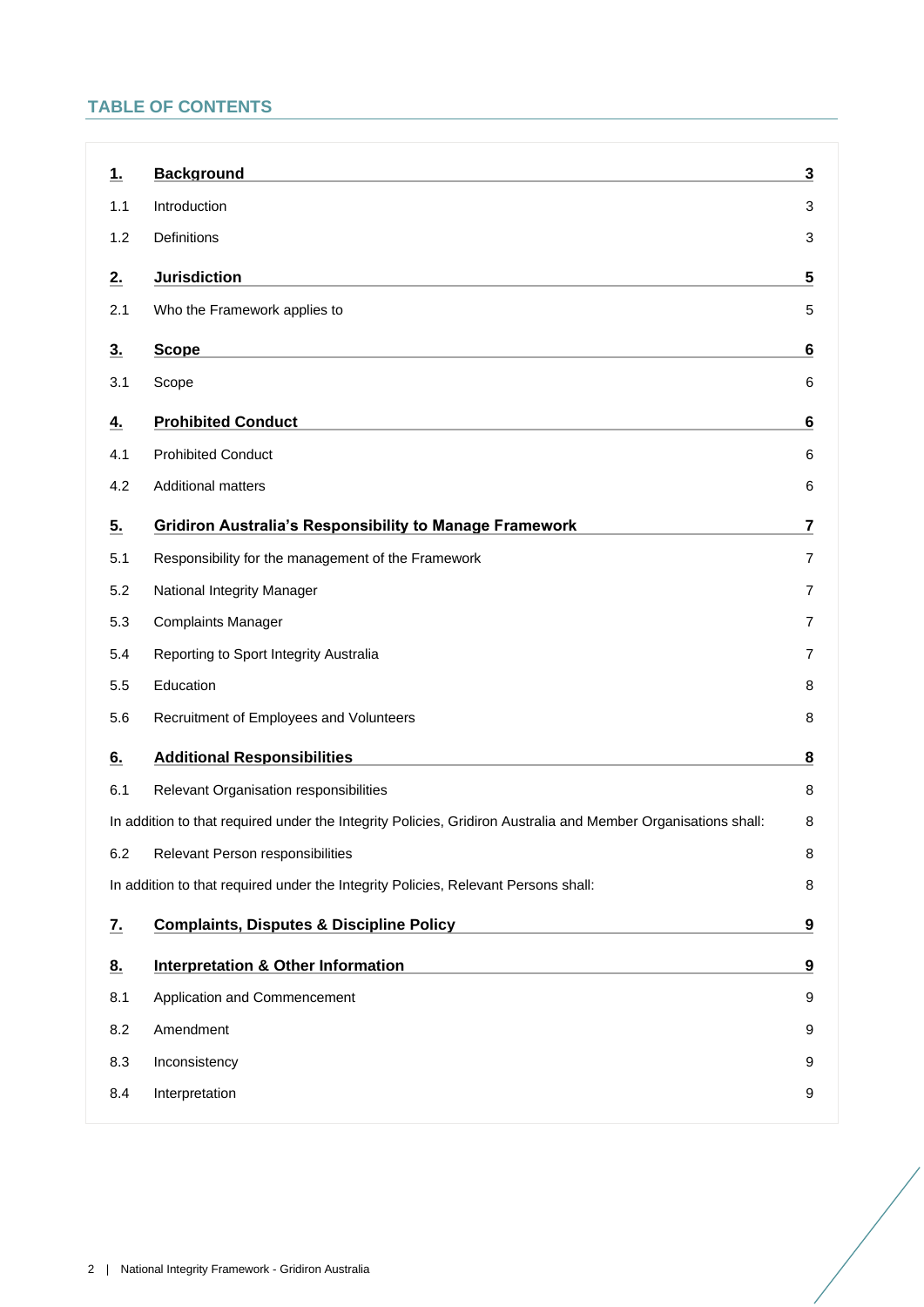# **TABLE OF CONTENTS**

| <u>1.</u>                                                                               | <b>Background</b>                                                                                             | 3                       |
|-----------------------------------------------------------------------------------------|---------------------------------------------------------------------------------------------------------------|-------------------------|
| 1.1                                                                                     | Introduction                                                                                                  | 3                       |
| 1.2                                                                                     | Definitions                                                                                                   | 3                       |
| 2.                                                                                      | <b>Jurisdiction</b>                                                                                           | 5                       |
| 2.1                                                                                     | Who the Framework applies to                                                                                  | 5                       |
| 3.                                                                                      | <b>Scope</b>                                                                                                  | 6                       |
| 3.1                                                                                     | Scope                                                                                                         | 6                       |
| <u>4.</u>                                                                               | <b>Prohibited Conduct</b>                                                                                     | 6                       |
| 4.1                                                                                     | <b>Prohibited Conduct</b>                                                                                     | 6                       |
| 4.2                                                                                     | <b>Additional matters</b>                                                                                     | 6                       |
| 5.                                                                                      | <b>Gridiron Australia's Responsibility to Manage Framework</b>                                                | $\overline{\mathbf{7}}$ |
| 5.1                                                                                     | Responsibility for the management of the Framework                                                            | 7                       |
| 5.2                                                                                     | National Integrity Manager                                                                                    | 7                       |
| 5.3                                                                                     | <b>Complaints Manager</b>                                                                                     | 7                       |
| 5.4                                                                                     | Reporting to Sport Integrity Australia                                                                        | 7                       |
| 5.5                                                                                     | Education                                                                                                     | 8                       |
| 5.6                                                                                     | Recruitment of Employees and Volunteers                                                                       | 8                       |
| 6.                                                                                      | <b>Additional Responsibilities</b>                                                                            | 8                       |
| 6.1                                                                                     | Relevant Organisation responsibilities                                                                        | 8                       |
|                                                                                         | In addition to that required under the Integrity Policies, Gridiron Australia and Member Organisations shall: | 8                       |
| 6.2                                                                                     | Relevant Person responsibilities                                                                              | 8                       |
| In addition to that required under the Integrity Policies, Relevant Persons shall:<br>8 |                                                                                                               |                         |
| <u>z.</u>                                                                               | <b>Complaints, Disputes &amp; Discipline Policy</b>                                                           | 9                       |
| 8.                                                                                      | <b>Interpretation &amp; Other Information</b>                                                                 | 9                       |
| 8.1                                                                                     | Application and Commencement                                                                                  | 9                       |
| 8.2                                                                                     | Amendment                                                                                                     | 9                       |
| 8.3                                                                                     | Inconsistency                                                                                                 | 9                       |
| 8.4                                                                                     | Interpretation                                                                                                | 9                       |
|                                                                                         |                                                                                                               |                         |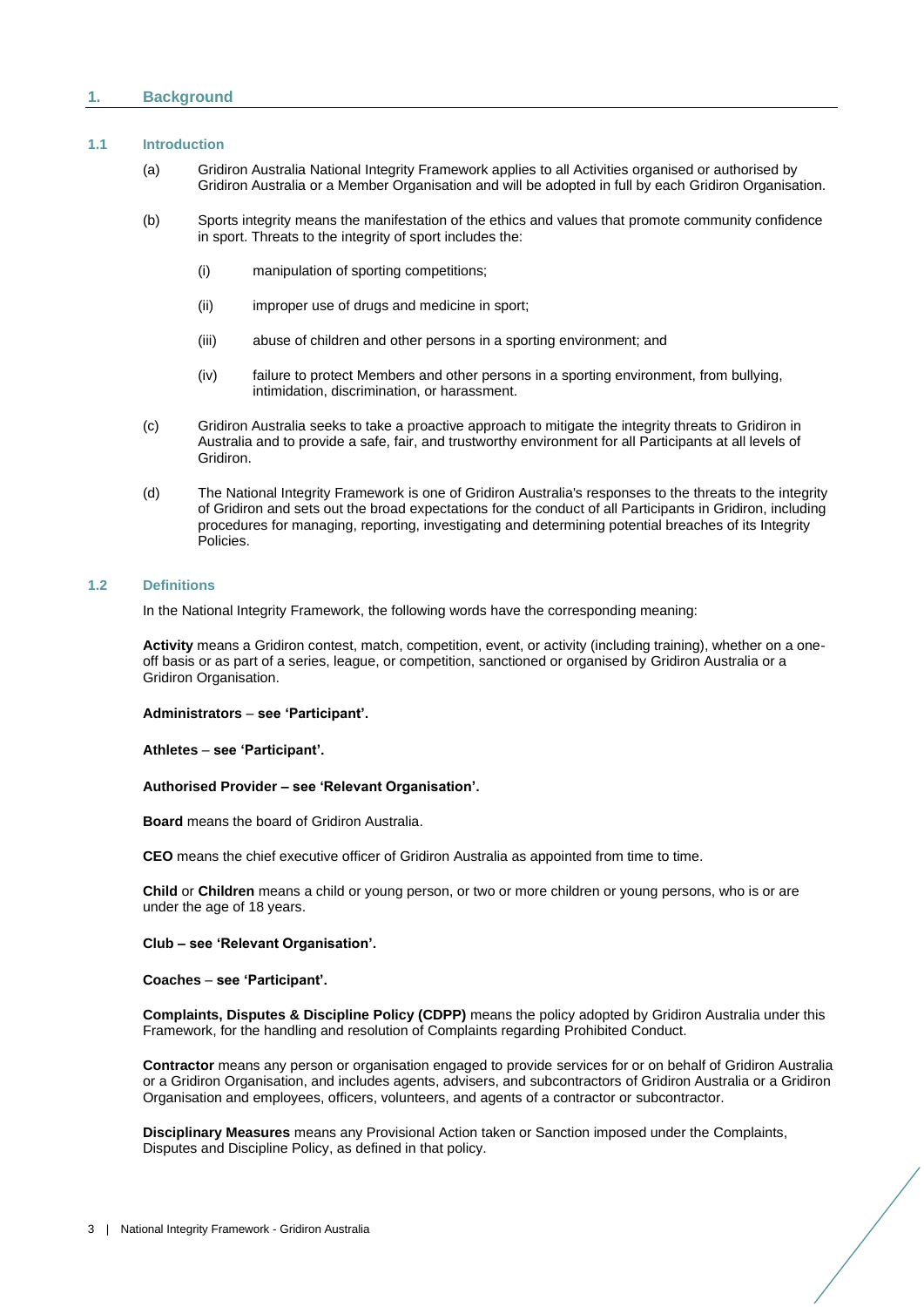# <span id="page-2-0"></span>**1. Background**

# <span id="page-2-1"></span>**1.1 Introduction**

- (a) Gridiron Australia National Integrity Framework applies to all Activities organised or authorised by Gridiron Australia or a Member Organisation and will be adopted in full by each Gridiron Organisation.
- (b) Sports integrity means the manifestation of the ethics and values that promote community confidence in sport. Threats to the integrity of sport includes the:
	- (i) manipulation of sporting competitions;
	- (ii) improper use of drugs and medicine in sport;
	- (iii) abuse of children and other persons in a sporting environment; and
	- (iv) failure to protect Members and other persons in a sporting environment, from bullying, intimidation, discrimination, or harassment.
- (c) Gridiron Australia seeks to take a proactive approach to mitigate the integrity threats to Gridiron in Australia and to provide a safe, fair, and trustworthy environment for all Participants at all levels of Gridiron.
- (d) The National Integrity Framework is one of Gridiron Australia's responses to the threats to the integrity of Gridiron and sets out the broad expectations for the conduct of all Participants in Gridiron, including procedures for managing, reporting, investigating and determining potential breaches of its Integrity Policies.

# <span id="page-2-2"></span>**1.2 Definitions**

In the National Integrity Framework, the following words have the corresponding meaning:

**Activity** means a Gridiron contest, match, competition, event, or activity (including training), whether on a oneoff basis or as part of a series, league, or competition, sanctioned or organised by Gridiron Australia or a Gridiron Organisation.

**Administrators** – **see 'Participant'.**

**Athletes** – **see 'Participant'.** 

#### **Authorised Provider – see 'Relevant Organisation'.**

**Board** means the board of Gridiron Australia.

**CEO** means the chief executive officer of Gridiron Australia as appointed from time to time.

**Child** or **Children** means a child or young person, or two or more children or young persons, who is or are under the age of 18 years.

#### **Club – see 'Relevant Organisation'.**

**Coaches** – **see 'Participant'.**

**Complaints, Disputes & Discipline Policy (CDPP)** means the policy adopted by Gridiron Australia under this Framework, for the handling and resolution of Complaints regarding Prohibited Conduct.

**Contractor** means any person or organisation engaged to provide services for or on behalf of Gridiron Australia or a Gridiron Organisation, and includes agents, advisers, and subcontractors of Gridiron Australia or a Gridiron Organisation and employees, officers, volunteers, and agents of a contractor or subcontractor.

**Disciplinary Measures** means any Provisional Action taken or Sanction imposed under the Complaints, Disputes and Discipline Policy, as defined in that policy.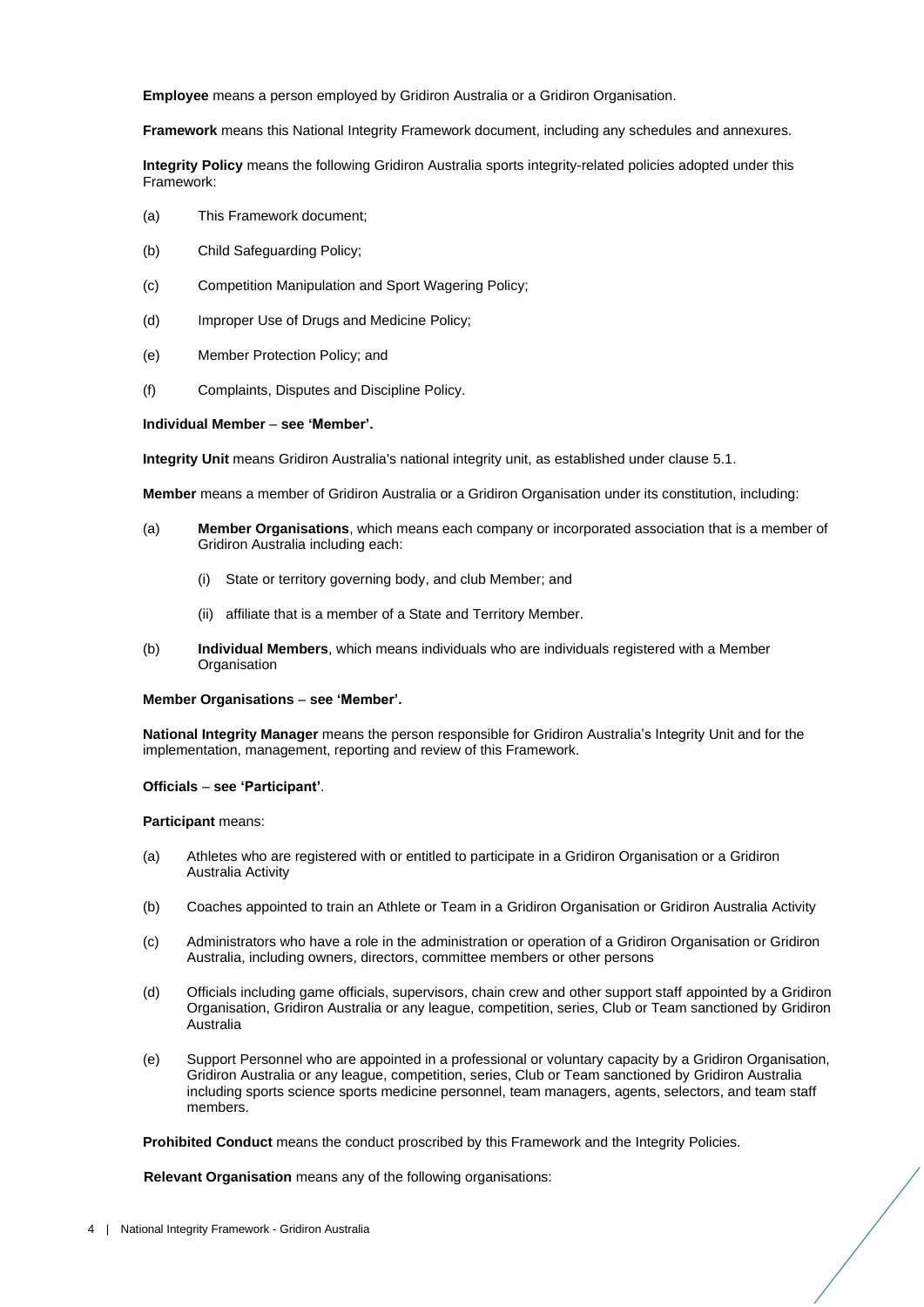**Employee** means a person employed by Gridiron Australia or a Gridiron Organisation.

**Framework** means this National Integrity Framework document, including any schedules and annexures.

**Integrity Policy** means the following Gridiron Australia sports integrity-related policies adopted under this Framework:

- (a) This Framework document;
- (b) Child Safeguarding Policy;
- (c) Competition Manipulation and Sport Wagering Policy;
- (d) Improper Use of Drugs and Medicine Policy;
- (e) Member Protection Policy; and
- (f) Complaints, Disputes and Discipline Policy.

#### **Individual Member** – **see 'Member'.**

**Integrity Unit** means Gridiron Australia's national integrity unit, as established under clause [5.1.](#page-6-1)

**Member** means a member of Gridiron Australia or a Gridiron Organisation under its constitution, including:

- (a) **Member Organisations**, which means each company or incorporated association that is a member of Gridiron Australia including each:
	- (i) State or territory governing body, and club Member; and
	- (ii) affiliate that is a member of a State and Territory Member.
- (b) **Individual Members**, which means individuals who are individuals registered with a Member **Organisation**

#### **Member Organisations** – **see 'Member'.**

**National Integrity Manager** means the person responsible for Gridiron Australia's Integrity Unit and for the implementation, management, reporting and review of this Framework.

#### **Officials** – **see 'Participant'**.

**Participant** means:

- (a) Athletes who are registered with or entitled to participate in a Gridiron Organisation or a Gridiron Australia Activity
- (b) Coaches appointed to train an Athlete or Team in a Gridiron Organisation or Gridiron Australia Activity
- (c) Administrators who have a role in the administration or operation of a Gridiron Organisation or Gridiron Australia, including owners, directors, committee members or other persons
- (d) Officials including game officials, supervisors, chain crew and other support staff appointed by a Gridiron Organisation, Gridiron Australia or any league, competition, series, Club or Team sanctioned by Gridiron Australia
- (e) Support Personnel who are appointed in a professional or voluntary capacity by a Gridiron Organisation, Gridiron Australia or any league, competition, series, Club or Team sanctioned by Gridiron Australia including sports science sports medicine personnel, team managers, agents, selectors, and team staff members.

**Prohibited Conduct** means the conduct proscribed by this Framework and the Integrity Policies.

**Relevant Organisation** means any of the following organisations: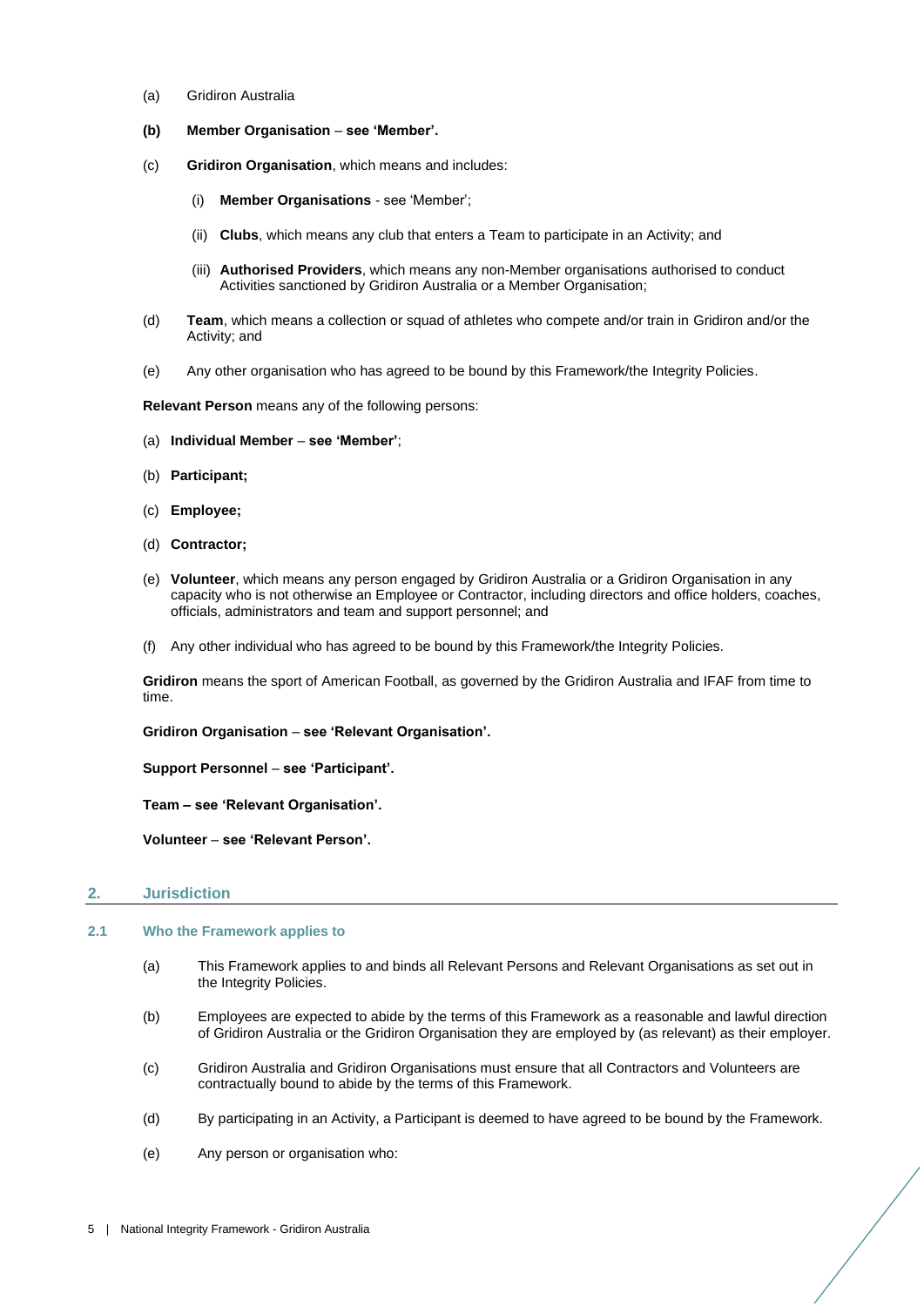- (a) Gridiron Australia
- **(b) Member Organisation see 'Member'.**
- (c) **Gridiron Organisation**, which means and includes:
	- (i) **Member Organisations** see 'Member';
	- (ii) **Clubs**, which means any club that enters a Team to participate in an Activity; and
	- (iii) **Authorised Providers**, which means any non-Member organisations authorised to conduct Activities sanctioned by Gridiron Australia or a Member Organisation;
- (d) **Team**, which means a collection or squad of athletes who compete and/or train in Gridiron and/or the Activity; and
- (e) Any other organisation who has agreed to be bound by this Framework/the Integrity Policies.

**Relevant Person** means any of the following persons:

- (a) **Individual Member see 'Member'**;
- (b) **Participant;**
- (c) **Employee;**
- (d) **Contractor;**
- (e) **Volunteer**, which means any person engaged by Gridiron Australia or a Gridiron Organisation in any capacity who is not otherwise an Employee or Contractor, including directors and office holders, coaches, officials, administrators and team and support personnel; and
- (f) Any other individual who has agreed to be bound by this Framework/the Integrity Policies.

**Gridiron** means the sport of American Football, as governed by the Gridiron Australia and IFAF from time to time.

**Gridiron Organisation** – **see 'Relevant Organisation'.**

**Support Personnel** – **see 'Participant'.**

**Team – see 'Relevant Organisation'.** 

**Volunteer** – **see 'Relevant Person'.** 

#### <span id="page-4-0"></span>**2. Jurisdiction**

# <span id="page-4-1"></span>**2.1 Who the Framework applies to**

- (a) This Framework applies to and binds all Relevant Persons and Relevant Organisations as set out in the Integrity Policies.
- (b) Employees are expected to abide by the terms of this Framework as a reasonable and lawful direction of Gridiron Australia or the Gridiron Organisation they are employed by (as relevant) as their employer.
- (c) Gridiron Australia and Gridiron Organisations must ensure that all Contractors and Volunteers are contractually bound to abide by the terms of this Framework.
- (d) By participating in an Activity, a Participant is deemed to have agreed to be bound by the Framework.
- (e) Any person or organisation who: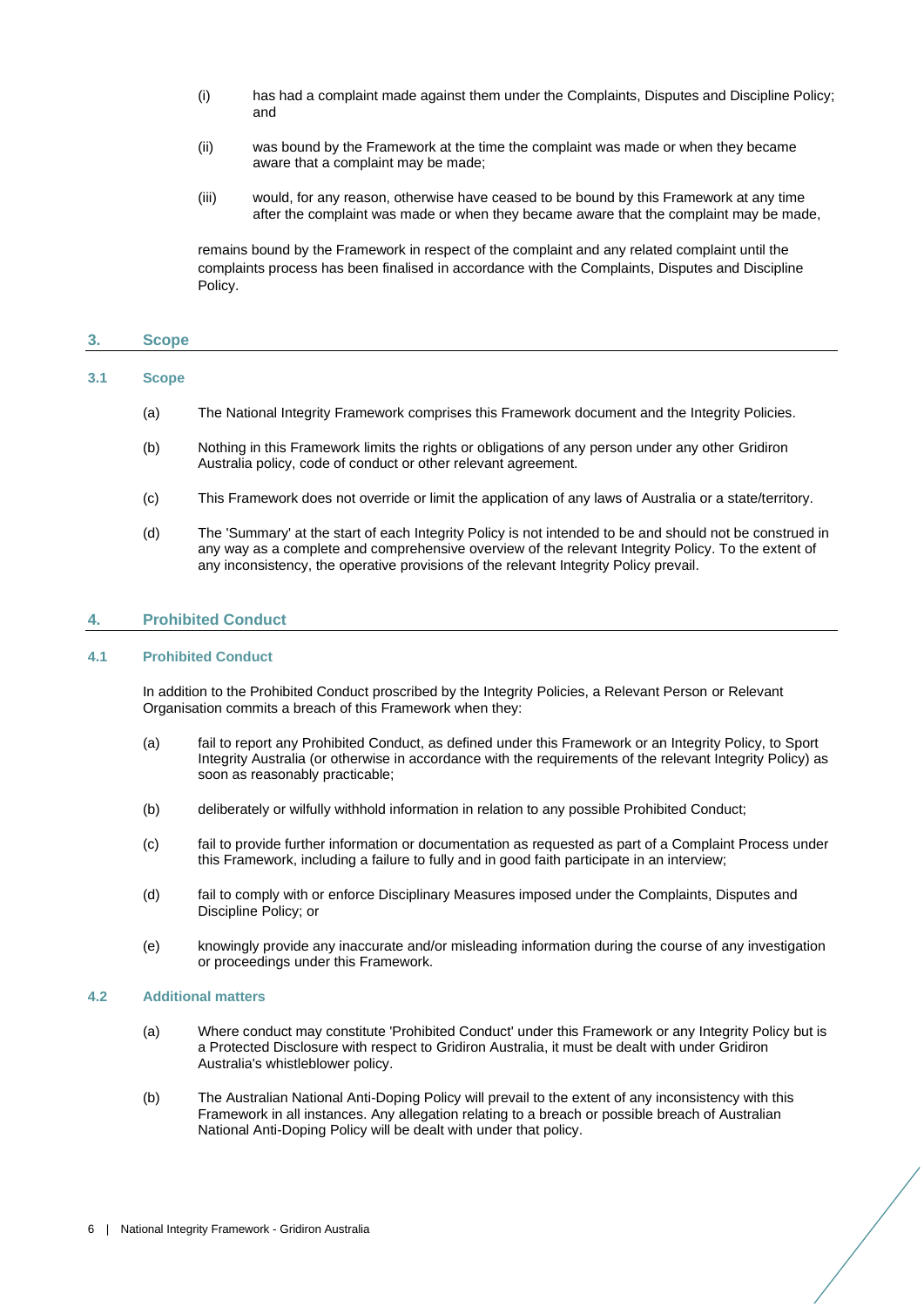- (i) has had a complaint made against them under the Complaints, Disputes and Discipline Policy; and
- (ii) was bound by the Framework at the time the complaint was made or when they became aware that a complaint may be made;
- (iii) would, for any reason, otherwise have ceased to be bound by this Framework at any time after the complaint was made or when they became aware that the complaint may be made,

remains bound by the Framework in respect of the complaint and any related complaint until the complaints process has been finalised in accordance with the Complaints, Disputes and Discipline Policy.

# <span id="page-5-0"></span>**3. Scope**

# <span id="page-5-1"></span>**3.1 Scope**

- (a) The National Integrity Framework comprises this Framework document and the Integrity Policies.
- (b) Nothing in this Framework limits the rights or obligations of any person under any other Gridiron Australia policy, code of conduct or other relevant agreement.
- (c) This Framework does not override or limit the application of any laws of Australia or a state/territory.
- (d) The 'Summary' at the start of each Integrity Policy is not intended to be and should not be construed in any way as a complete and comprehensive overview of the relevant Integrity Policy. To the extent of any inconsistency, the operative provisions of the relevant Integrity Policy prevail.

# <span id="page-5-2"></span>**4. Prohibited Conduct**

#### <span id="page-5-3"></span>**4.1 Prohibited Conduct**

In addition to the Prohibited Conduct proscribed by the Integrity Policies, a Relevant Person or Relevant Organisation commits a breach of this Framework when they:

- (a) fail to report any Prohibited Conduct, as defined under this Framework or an Integrity Policy, to Sport Integrity Australia (or otherwise in accordance with the requirements of the relevant Integrity Policy) as soon as reasonably practicable;
- (b) deliberately or wilfully withhold information in relation to any possible Prohibited Conduct;
- (c) fail to provide further information or documentation as requested as part of a Complaint Process under this Framework, including a failure to fully and in good faith participate in an interview;
- (d) fail to comply with or enforce Disciplinary Measures imposed under the Complaints, Disputes and Discipline Policy; or
- (e) knowingly provide any inaccurate and/or misleading information during the course of any investigation or proceedings under this Framework.

#### <span id="page-5-4"></span>**4.2 Additional matters**

- (a) Where conduct may constitute 'Prohibited Conduct' under this Framework or any Integrity Policy but is a Protected Disclosure with respect to Gridiron Australia, it must be dealt with under Gridiron Australia's whistleblower policy.
- (b) The Australian National Anti-Doping Policy will prevail to the extent of any inconsistency with this Framework in all instances. Any allegation relating to a breach or possible breach of Australian National Anti-Doping Policy will be dealt with under that policy.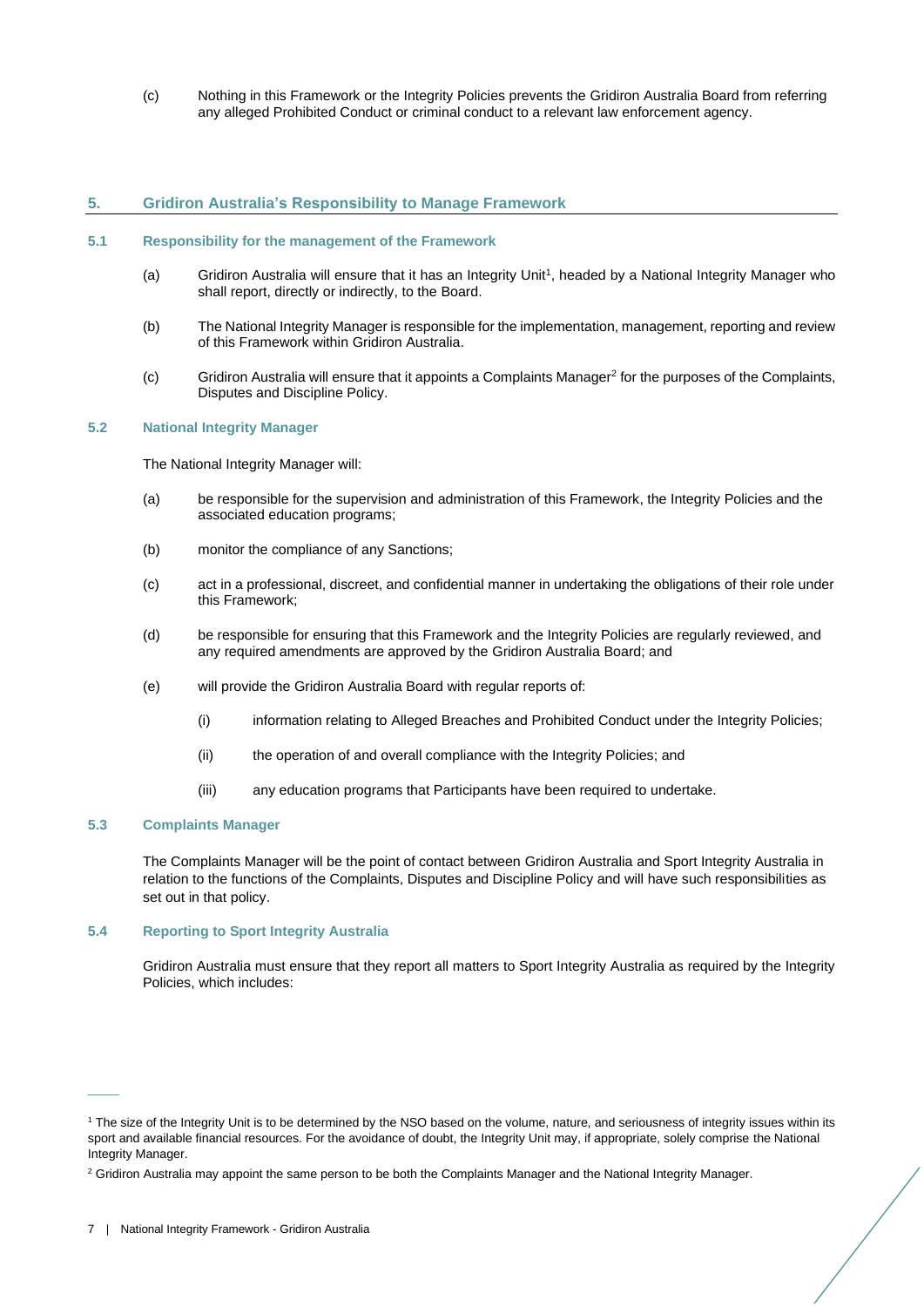(c) Nothing in this Framework or the Integrity Policies prevents the Gridiron Australia Board from referring any alleged Prohibited Conduct or criminal conduct to a relevant law enforcement agency.

# <span id="page-6-0"></span>**5. Gridiron Australia's Responsibility to Manage Framework**

#### <span id="page-6-1"></span>**5.1 Responsibility for the management of the Framework**

- (a) Gridiron Australia will ensure that it has an Integrity Unit<sup>1</sup>, headed by a National Integrity Manager who shall report, directly or indirectly, to the Board.
- (b) The National Integrity Manager is responsible for the implementation, management, reporting and review of this Framework within Gridiron Australia.
- (c) Gridiron Australia will ensure that it appoints a Complaints Manager<sup>2</sup> for the purposes of the Complaints, Disputes and Discipline Policy.

#### <span id="page-6-2"></span>**5.2 National Integrity Manager**

The National Integrity Manager will:

- (a) be responsible for the supervision and administration of this Framework, the Integrity Policies and the associated education programs;
- (b) monitor the compliance of any Sanctions;
- (c) act in a professional, discreet, and confidential manner in undertaking the obligations of their role under this Framework;
- (d) be responsible for ensuring that this Framework and the Integrity Policies are regularly reviewed, and any required amendments are approved by the Gridiron Australia Board; and
- (e) will provide the Gridiron Australia Board with regular reports of:
	- (i) information relating to Alleged Breaches and Prohibited Conduct under the Integrity Policies;
	- (ii) the operation of and overall compliance with the Integrity Policies; and
	- (iii) any education programs that Participants have been required to undertake.

# <span id="page-6-3"></span>**5.3 Complaints Manager**

 $\overline{\phantom{a}}$ 

The Complaints Manager will be the point of contact between Gridiron Australia and Sport Integrity Australia in relation to the functions of the Complaints, Disputes and Discipline Policy and will have such responsibilities as set out in that policy.

#### <span id="page-6-4"></span>**5.4 Reporting to Sport Integrity Australia**

Gridiron Australia must ensure that they report all matters to Sport Integrity Australia as required by the Integrity Policies, which includes:

<sup>1</sup> The size of the Integrity Unit is to be determined by the NSO based on the volume, nature, and seriousness of integrity issues within its sport and available financial resources. For the avoidance of doubt, the Integrity Unit may, if appropriate, solely comprise the National Integrity Manager.

<sup>&</sup>lt;sup>2</sup> Gridiron Australia may appoint the same person to be both the Complaints Manager and the National Integrity Manager.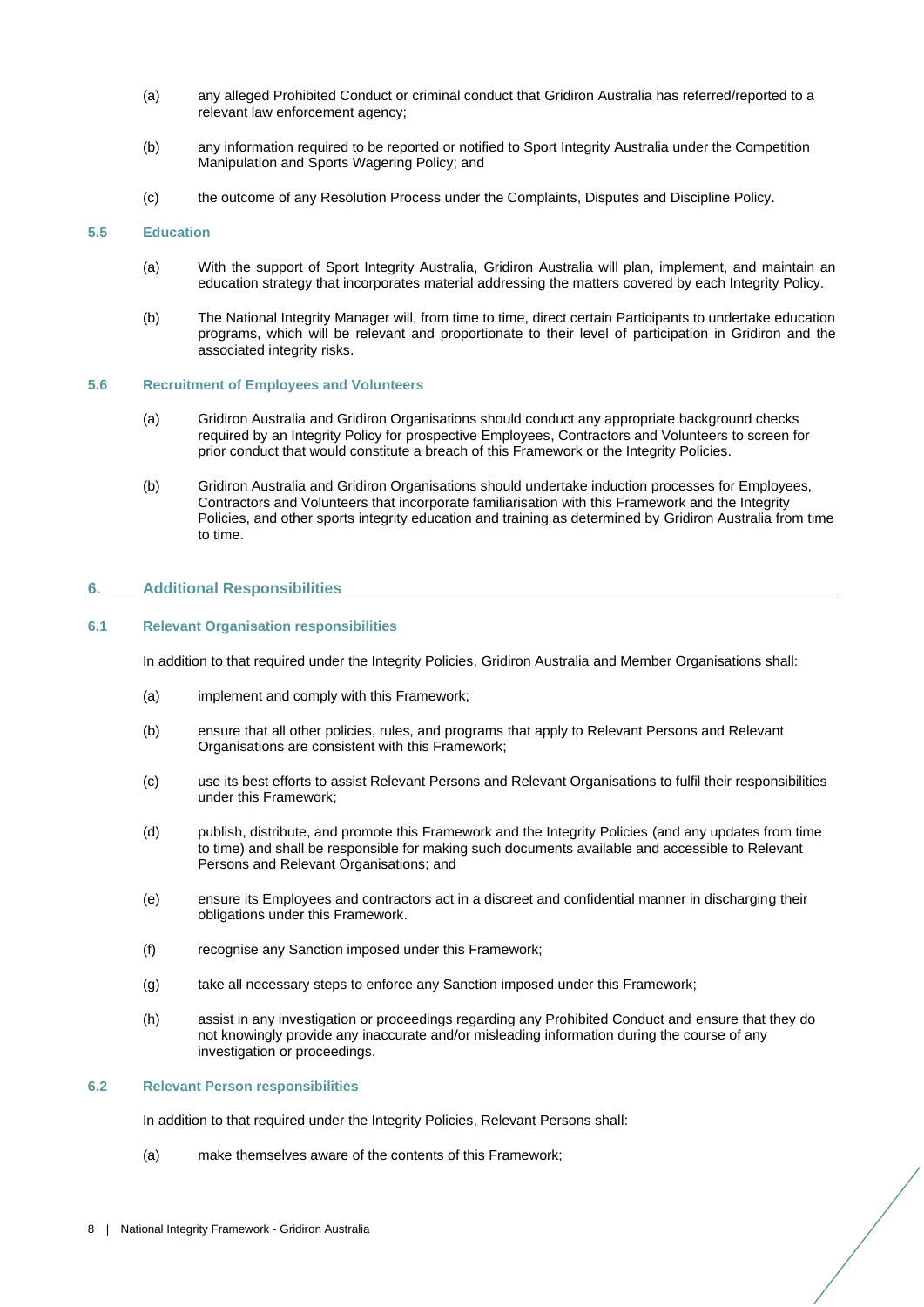- (a) any alleged Prohibited Conduct or criminal conduct that Gridiron Australia has referred/reported to a relevant law enforcement agency;
- (b) any information required to be reported or notified to Sport Integrity Australia under the Competition Manipulation and Sports Wagering Policy; and
- (c) the outcome of any Resolution Process under the Complaints, Disputes and Discipline Policy.

#### <span id="page-7-0"></span>**5.5 Education**

- (a) With the support of Sport Integrity Australia, Gridiron Australia will plan, implement, and maintain an education strategy that incorporates material addressing the matters covered by each Integrity Policy.
- (b) The National Integrity Manager will, from time to time, direct certain Participants to undertake education programs, which will be relevant and proportionate to their level of participation in Gridiron and the associated integrity risks.

# <span id="page-7-1"></span>**5.6 Recruitment of Employees and Volunteers**

- (a) Gridiron Australia and Gridiron Organisations should conduct any appropriate background checks required by an Integrity Policy for prospective Employees, Contractors and Volunteers to screen for prior conduct that would constitute a breach of this Framework or the Integrity Policies.
- (b) Gridiron Australia and Gridiron Organisations should undertake induction processes for Employees, Contractors and Volunteers that incorporate familiarisation with this Framework and the Integrity Policies, and other sports integrity education and training as determined by Gridiron Australia from time to time.

# <span id="page-7-2"></span>**6. Additional Responsibilities**

#### <span id="page-7-4"></span><span id="page-7-3"></span>**6.1 Relevant Organisation responsibilities**

In addition to that required under the Integrity Policies, Gridiron Australia and Member Organisations shall:

- (a) implement and comply with this Framework;
- (b) ensure that all other policies, rules, and programs that apply to Relevant Persons and Relevant Organisations are consistent with this Framework;
- (c) use its best efforts to assist Relevant Persons and Relevant Organisations to fulfil their responsibilities under this Framework;
- (d) publish, distribute, and promote this Framework and the Integrity Policies (and any updates from time to time) and shall be responsible for making such documents available and accessible to Relevant Persons and Relevant Organisations; and
- (e) ensure its Employees and contractors act in a discreet and confidential manner in discharging their obligations under this Framework.
- (f) recognise any Sanction imposed under this Framework;
- (g) take all necessary steps to enforce any Sanction imposed under this Framework;
- (h) assist in any investigation or proceedings regarding any Prohibited Conduct and ensure that they do not knowingly provide any inaccurate and/or misleading information during the course of any investigation or proceedings.

#### <span id="page-7-6"></span><span id="page-7-5"></span>**6.2 Relevant Person responsibilities**

In addition to that required under the Integrity Policies, Relevant Persons shall:

(a) make themselves aware of the contents of this Framework;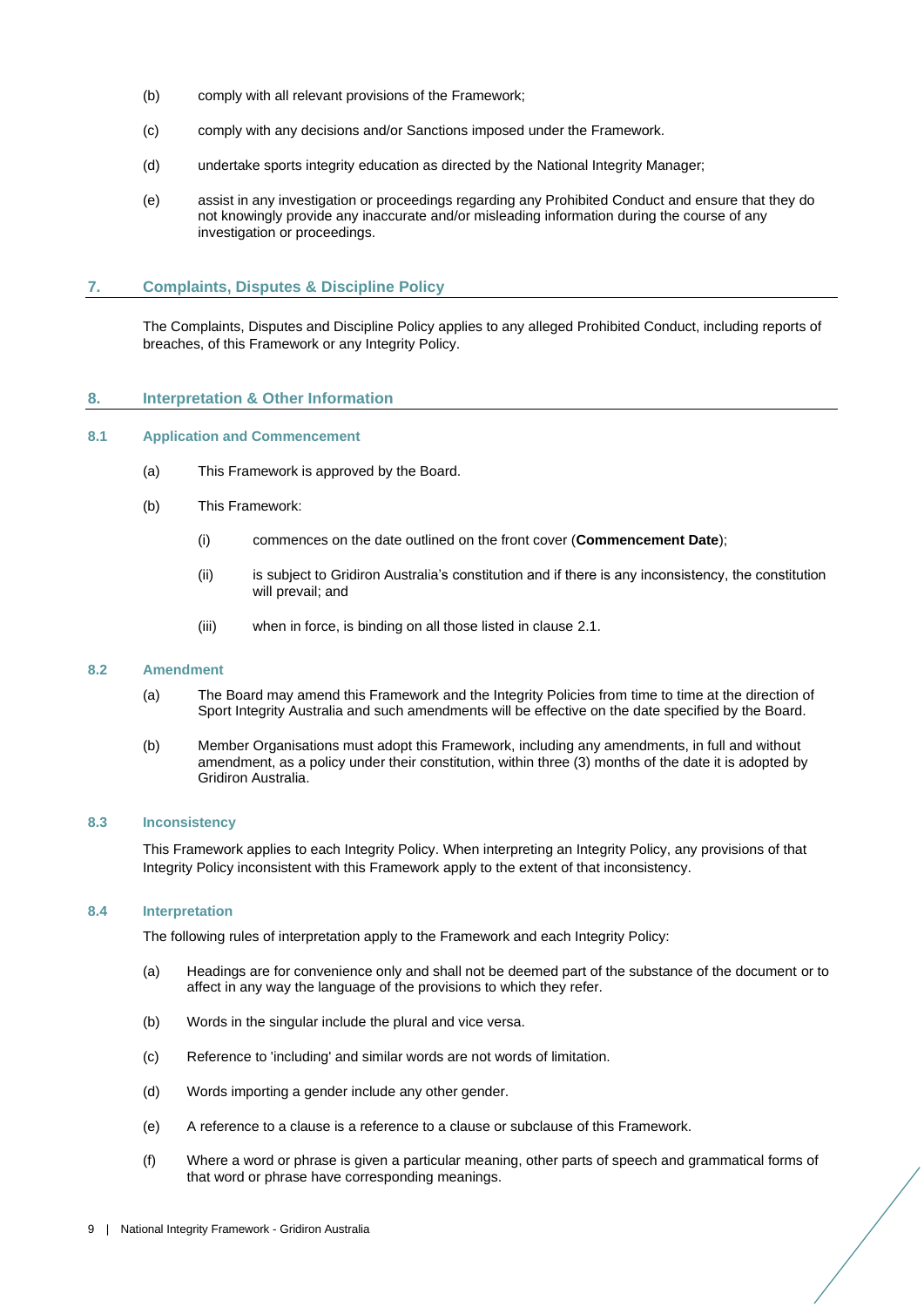- (b) comply with all relevant provisions of the Framework;
- (c) comply with any decisions and/or Sanctions imposed under the Framework.
- (d) undertake sports integrity education as directed by the National Integrity Manager;
- (e) assist in any investigation or proceedings regarding any Prohibited Conduct and ensure that they do not knowingly provide any inaccurate and/or misleading information during the course of any investigation or proceedings.

# <span id="page-8-0"></span>**7. Complaints, Disputes & Discipline Policy**

The Complaints, Disputes and Discipline Policy applies to any alleged Prohibited Conduct, including reports of breaches, of this Framework or any Integrity Policy.

# <span id="page-8-1"></span>**8. Interpretation & Other Information**

# <span id="page-8-2"></span>**8.1 Application and Commencement**

- (a) This Framework is approved by the Board.
- (b) This Framework:
	- (i) commences on the date outlined on the front cover (**Commencement Date**);
	- (ii) is subject to Gridiron Australia's constitution and if there is any inconsistency, the constitution will prevail; and
	- (iii) when in force, is binding on all those listed in clause [2.1.](#page-4-1)

#### <span id="page-8-3"></span>**8.2 Amendment**

- (a) The Board may amend this Framework and the Integrity Policies from time to time at the direction of Sport Integrity Australia and such amendments will be effective on the date specified by the Board.
- (b) Member Organisations must adopt this Framework, including any amendments, in full and without amendment, as a policy under their constitution, within three (3) months of the date it is adopted by Gridiron Australia.

#### <span id="page-8-4"></span>**8.3 Inconsistency**

This Framework applies to each Integrity Policy. When interpreting an Integrity Policy, any provisions of that Integrity Policy inconsistent with this Framework apply to the extent of that inconsistency.

# <span id="page-8-5"></span>**8.4 Interpretation**

The following rules of interpretation apply to the Framework and each Integrity Policy:

- (a) Headings are for convenience only and shall not be deemed part of the substance of the document or to affect in any way the language of the provisions to which they refer.
- (b) Words in the singular include the plural and vice versa.
- (c) Reference to 'including' and similar words are not words of limitation.
- (d) Words importing a gender include any other gender.
- (e) A reference to a clause is a reference to a clause or subclause of this Framework.
- (f) Where a word or phrase is given a particular meaning, other parts of speech and grammatical forms of that word or phrase have corresponding meanings.